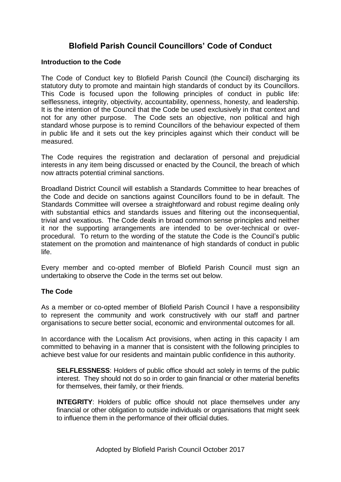## **Blofield Parish Council Councillors' Code of Conduct**

## **Introduction to the Code**

The Code of Conduct key to Blofield Parish Council (the Council) discharging its statutory duty to promote and maintain high standards of conduct by its Councillors. This Code is focused upon the following principles of conduct in public life: selflessness, integrity, objectivity, accountability, openness, honesty, and leadership. It is the intention of the Council that the Code be used exclusively in that context and not for any other purpose. The Code sets an objective, non political and high standard whose purpose is to remind Councillors of the behaviour expected of them in public life and it sets out the key principles against which their conduct will be measured.

The Code requires the registration and declaration of personal and prejudicial interests in any item being discussed or enacted by the Council, the breach of which now attracts potential criminal sanctions.

Broadland District Council will establish a Standards Committee to hear breaches of the Code and decide on sanctions against Councillors found to be in default. The Standards Committee will oversee a straightforward and robust regime dealing only with substantial ethics and standards issues and filtering out the inconsequential, trivial and vexatious. The Code deals in broad common sense principles and neither it nor the supporting arrangements are intended to be over-technical or overprocedural. To return to the wording of the statute the Code is the Council's public statement on the promotion and maintenance of high standards of conduct in public life.

Every member and co-opted member of Blofield Parish Council must sign an undertaking to observe the Code in the terms set out below.

## **The Code**

As a member or co-opted member of Blofield Parish Council I have a responsibility to represent the community and work constructively with our staff and partner organisations to secure better social, economic and environmental outcomes for all.

In accordance with the Localism Act provisions, when acting in this capacity I am committed to behaving in a manner that is consistent with the following principles to achieve best value for our residents and maintain public confidence in this authority.

**SELFLESSNESS**: Holders of public office should act solely in terms of the public interest. They should not do so in order to gain financial or other material benefits for themselves, their family, or their friends.

**INTEGRITY:** Holders of public office should not place themselves under any financial or other obligation to outside individuals or organisations that might seek to influence them in the performance of their official duties.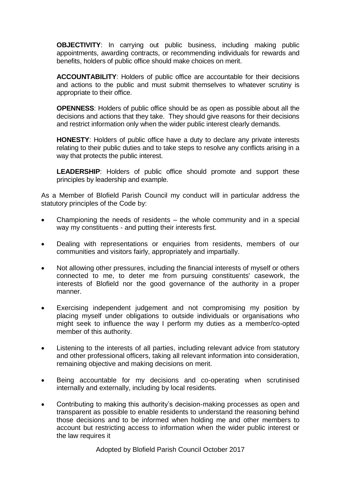**OBJECTIVITY**: In carrying out public business, including making public appointments, awarding contracts, or recommending individuals for rewards and benefits, holders of public office should make choices on merit.

**ACCOUNTABILITY**: Holders of public office are accountable for their decisions and actions to the public and must submit themselves to whatever scrutiny is appropriate to their office.

**OPENNESS**: Holders of public office should be as open as possible about all the decisions and actions that they take. They should give reasons for their decisions and restrict information only when the wider public interest clearly demands.

**HONESTY**: Holders of public office have a duty to declare any private interests relating to their public duties and to take steps to resolve any conflicts arising in a way that protects the public interest.

**LEADERSHIP**: Holders of public office should promote and support these principles by leadership and example.

As a Member of Blofield Parish Council my conduct will in particular address the statutory principles of the Code by:

- Championing the needs of residents the whole community and in a special way my constituents - and putting their interests first.
- Dealing with representations or enquiries from residents, members of our communities and visitors fairly, appropriately and impartially.
- Not allowing other pressures, including the financial interests of myself or others connected to me, to deter me from pursuing constituents' casework, the interests of Blofield nor the good governance of the authority in a proper manner.
- Exercising independent judgement and not compromising my position by placing myself under obligations to outside individuals or organisations who might seek to influence the way I perform my duties as a member/co-opted member of this authority.
- Listening to the interests of all parties, including relevant advice from statutory and other professional officers, taking all relevant information into consideration, remaining objective and making decisions on merit.
- Being accountable for my decisions and co-operating when scrutinised internally and externally, including by local residents.
- Contributing to making this authority's decision-making processes as open and transparent as possible to enable residents to understand the reasoning behind those decisions and to be informed when holding me and other members to account but restricting access to information when the wider public interest or the law requires it